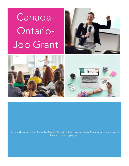Canada-Ontario-Job Grant





The Canada-Ontario Job Grant (COJG) is offered by the Government of Ontario to help companies level up their employees.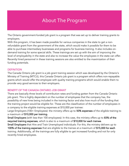# About The Program

The Ontario government-funded job grant is a program that was set up to deliver training grants to employers.

With this program, it has been made possible for various companies in the state to get a nonrefundable grant from the government of the state, which would make it possible for them to be able to purchase intermediary businesses and programs for business training. It also includes ondemand training for some special skills. These trainings are set up with the aim of improving the level of employability in the state and also to increase the value the employees in the state can offer. Recently hired personnel in these training sessions are also entitled to the maximization of their funding potentials.

#### **DEFINITION**

The Canada Ontario job grant is a job grant training session which was developed by the Ontario's Ministry of Training (MTCU), this Canada Ontario job grant is a program which offers non-repayable grants which would offer the employee with quality training programs which would enable them to provide very good services to their employers.

#### BENEFIT OF THE CANADA ONTARIO JOB GRANT

There are basically three levels of contribution rates and funding gotten from the Canada Ontario job grant. This is highly dependent on the number of employees that the company has, the possibility of new hires being included in the training factor and also how much of the funding that the training project would be eligible for. These are the classification of the number of employees in a company to the eligible training expenses at \$10,000 per trainee:

Large Employers (100+ Employees): the ministry offers up to 50% expenses of the eligible training to a maximum of \$10,000 per training.

Small Employers (with less than 100 employees): In this case, the ministry offers up to 83% of the required training expenses, which is also to a maximum of \$10,000 for each trainee.

Small Employers that Hire and Train Unemployed individuals: For this, the ministry delivers up to 100% of the training expenses that are eligible to the trainee at a maximum of \$15,000 for each training. Additionally, all the trainings are fully eligible to get increased funding and not for only recently hired employees.